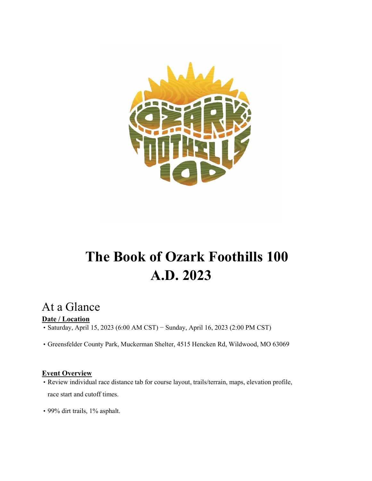

# **The Book of Ozark Foothills 100 A.D. 2023**

## At a Glance

### **Date / Location**

• Saturday, April 15, 2023 (6:00 AM CST) − Sunday, April 16, 2023 (2:00 PM CST)

• Greensfelder County Park, Muckerman Shelter, 4515 Hencken Rd, Wildwood, MO 63069

### **Event Overview**

- Review individual race distance tab for course layout, trails/terrain, maps, elevation profile, race start and cutoff times.
- 99% dirt trails, 1% asphalt.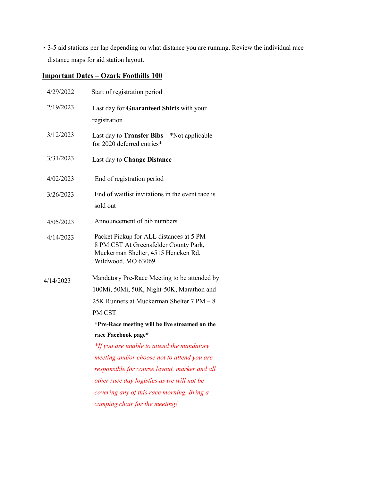• 3-5 aid stations per lap depending on what distance you are running. Review the individual race distance maps for aid station layout.

### **Important Dates – Ozark Foothills 100**

| 4/29/2022 | Start of registration period                                                                                                                    |  |  |
|-----------|-------------------------------------------------------------------------------------------------------------------------------------------------|--|--|
| 2/19/2023 | Last day for Guaranteed Shirts with your                                                                                                        |  |  |
|           | registration                                                                                                                                    |  |  |
| 3/12/2023 | Last day to <b>Transfer Bibs</b> $-$ *Not applicable<br>for 2020 deferred entries*                                                              |  |  |
| 3/31/2023 | Last day to Change Distance                                                                                                                     |  |  |
| 4/02/2023 | End of registration period                                                                                                                      |  |  |
| 3/26/2023 | End of waitlist invitations in the event race is<br>sold out                                                                                    |  |  |
| 4/05/2023 | Announcement of bib numbers                                                                                                                     |  |  |
| 4/14/2023 | Packet Pickup for ALL distances at 5 PM -<br>8 PM CST At Greensfelder County Park,<br>Muckerman Shelter, 4515 Hencken Rd,<br>Wildwood, MO 63069 |  |  |
| 4/14/2023 | Mandatory Pre-Race Meeting to be attended by                                                                                                    |  |  |
|           | 100Mi, 50Mi, 50K, Night-50K, Marathon and                                                                                                       |  |  |
|           | 25K Runners at Muckerman Shelter 7 PM - 8                                                                                                       |  |  |
|           | PM CST                                                                                                                                          |  |  |
|           | *Pre-Race meeting will be live streamed on the                                                                                                  |  |  |
|           | race Facebook page*                                                                                                                             |  |  |
|           | *If you are unable to attend the mandatory                                                                                                      |  |  |
|           | meeting and/or choose not to attend you are                                                                                                     |  |  |
|           | responsible for course layout, marker and all                                                                                                   |  |  |
|           | other race day logistics as we will not be                                                                                                      |  |  |
|           | covering any of this race morning. Bring a                                                                                                      |  |  |
|           | camping chair for the meeting!                                                                                                                  |  |  |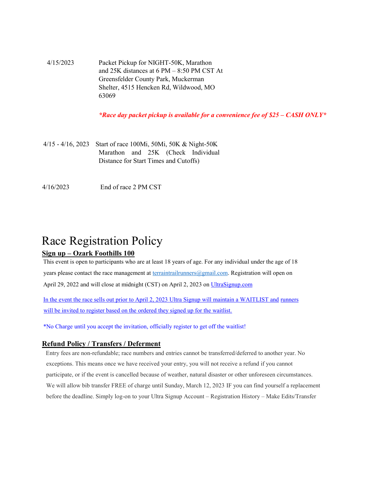4/15/2023 Packet Pickup for NIGHT-50K, Marathon and 25K distances at 6 PM – 8:50 PM CST At Greensfelder County Park, Muckerman Shelter, 4515 Hencken Rd, Wildwood, MO 63069

*\*Race day packet pickup is available for a convenience fee of \$25 – CASH ONLY\**

- 4/15 4/16, 2023 Start of race 100Mi, 50Mi, 50K & Night-50K Marathon and 25K (Check Individual Distance for Start Times and Cutoffs)
- 4/16/2023 End of race 2 PM CST

## Race Registration Policy

### **Sign up – Ozark Foothills 100**

This event is open to participants who are at least 18 years of age. For any individual under the age of 18 years please contact the race management at terraintrailrunners@gmail.com. Registration will open on April 29, 2022 and will close at midnight (CST) on April 2, 2023 on UltraSignup.com

In the event the race sells out prior to April 2, 2023 Ultra Signup will maintain a WAITLIST and runners will be invited to register based on the ordered they signed up for the waitlist.

\*No Charge until you accept the invitation, officially register to get off the waitlist!

#### **Refund Policy / Transfers / Deferment**

Entry fees are non-refundable; race numbers and entries cannot be transferred/deferred to another year. No exceptions. This means once we have received your entry, you will not receive a refund if you cannot participate, or if the event is cancelled because of weather, natural disaster or other unforeseen circumstances. We will allow bib transfer FREE of charge until Sunday, March 12, 2023 IF you can find yourself a replacement before the deadline. Simply log-on to your Ultra Signup Account – Registration History – Make Edits/Transfer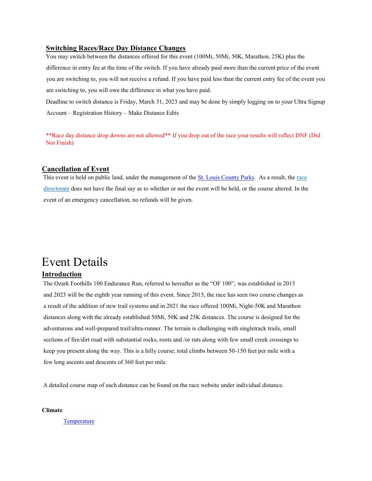#### **Switching Races/Race Day Distance Changes**

You may switch between the distances offered for this event (100Mi, 50Mi, 50K, Marathon, 25K) plus the difference in entry fee at the time of the switch. If you have already paid more than the current price of the event you are switching to, you will not receive a refund. If you have paid less than the current entry fee of the event you are switching to, you will owe the difference in what you have paid.

Deadline to switch distance is Friday, March 31, 2023 and may be done by simply logging on to your Ultra Signup Account – Registration History – Make Distance Edits

\*\*Race day distance drop downs are not allowed\*\* If you drop out of the race your results will reflect DNF (Did Not Finish)

#### **Cancellation of Event**

This event is held on public land, under the management of the St. Louis County Parks. As a result, the race directorate does not have the final say as to whether or not the event will be held, or the course altered. In the event of an emergency cancellation, no refunds will be given.

## Event Details

### **Introduction**

The Ozark Foothills 100 Endurance Run, referred to hereafter as the "OF 100", was established in 2015 and 2023 will be the eighth year running of this event. Since 2015, the race has seen two course changes as a result of the addition of new trail systems and in 2021 the race offered 100Mi, Night-50K and Marathon distances along with the already established 50Mi, 50K and 25K distances. The course is designed for the adventurous and well-prepared trail/ultra-runner. The terrain is challenging with singletrack trails, small sections of fire/dirt road with substantial rocks, roots and /or ruts along with few small creek crossings to keep you present along the way. This is a hilly course; total climbs between 50-150 feet per mile with a few long ascents and descents of 360 feet per mile.

A detailed course map of each distance can be found on the race website under individual distance.

**Climate** 

**Temperature**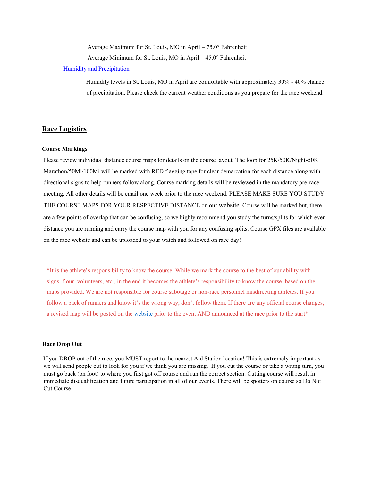Average Maximum for St. Louis, MO in April – 75.0° Fahrenheit

Average Minimum for St. Louis, MO in April – 45.0° Fahrenheit

#### Humidity and Precipitation

Humidity levels in St. Louis, MO in April are comfortable with approximately 30% - 40% chance of precipitation. Please check the current weather conditions as you prepare for the race weekend.

#### **Race Logistics**

#### **Course Markings**

Please review individual distance course maps for details on the course layout. The loop for 25K/50K/Night-50K Marathon/50Mi/100Mi will be marked with RED flagging tape for clear demarcation for each distance along with directional signs to help runners follow along. Course marking details will be reviewed in the mandatory pre-race meeting. All other details will be email one week prior to the race weekend. PLEASE MAKE SURE YOU STUDY THE COURSE MAPS FOR YOUR RESPECTIVE DISTANCE on our website. Course will be marked but, there are a few points of overlap that can be confusing, so we highly recommend you study the turns/splits for which ever distance you are running and carry the course map with you for any confusing splits. Course GPX files are available on the race website and can be uploaded to your watch and followed on race day!

\*It is the athlete's responsibility to know the course. While we mark the course to the best of our ability with signs, flour, volunteers, etc., in the end it becomes the athlete's responsibility to know the course, based on the maps provided. We are not responsible for course sabotage or non-race personnel misdirecting athletes. If you follow a pack of runners and know it's the wrong way, don't follow them. If there are any official course changes, a revised map will be posted on the website prior to the event AND announced at the race prior to the start\*

#### **Race Drop Out**

If you DROP out of the race, you MUST report to the nearest Aid Station location! This is extremely important as we will send people out to look for you if we think you are missing. If you cut the course or take a wrong turn, you must go back (on foot) to where you first got off course and run the correct section. Cutting course will result in immediate disqualification and future participation in all of our events. There will be spotters on course so Do Not Cut Course!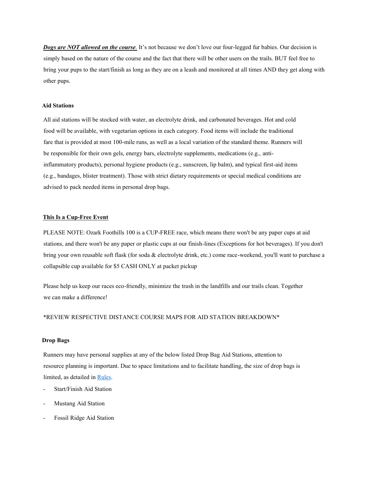*Dogs are NOT allowed on the course.* It's not because we don't love our four-legged fur babies. Our decision is simply based on the nature of the course and the fact that there will be other users on the trails. BUT feel free to bring your pups to the start/finish as long as they are on a leash and monitored at all times AND they get along with other pups.

#### **Aid Stations**

All aid stations will be stocked with water, an electrolyte drink, and carbonated beverages. Hot and cold food will be available, with vegetarian options in each category. Food items will include the traditional fare that is provided at most 100-mile runs, as well as a local variation of the standard theme. Runners will be responsible for their own gels, energy bars, electrolyte supplements, medications (e.g., antiinflammatory products), personal hygiene products (e.g., sunscreen, lip balm), and typical first-aid items (e.g., bandages, blister treatment). Those with strict dietary requirements or special medical conditions are advised to pack needed items in personal drop bags.

#### **This Is a Cup-Free Event**

PLEASE NOTE: Ozark Foothills 100 is a CUP-FREE race, which means there won't be any paper cups at aid stations, and there won't be any paper or plastic cups at our finish-lines (Exceptions for hot beverages). If you don't bring your own reusable soft flask (for soda & electrolyte drink, etc.) come race-weekend, you'll want to purchase a collapsible cup available for \$5 CASH ONLY at packet pickup

Please help us keep our races eco-friendly, minimize the trash in the landfills and our trails clean. Together we can make a difference!

#### \*REVIEW RESPECTIVE DISTANCE COURSE MAPS FOR AID STATION BREAKDOWN\*

#### **Drop Bags**

Runners may have personal supplies at any of the below listed Drop Bag Aid Stations, attention to resource planning is important. Due to space limitations and to facilitate handling, the size of drop bags is limited, as detailed in Rules.

- Start/Finish Aid Station
- Mustang Aid Station
- Fossil Ridge Aid Station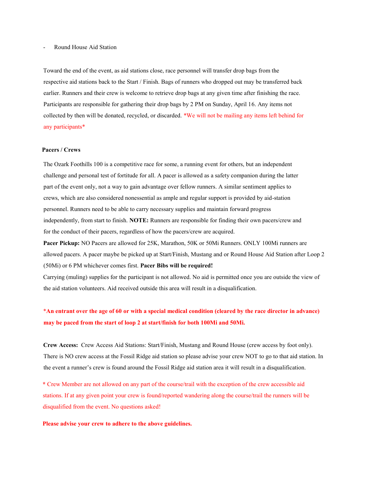#### Round House Aid Station

Toward the end of the event, as aid stations close, race personnel will transfer drop bags from the respective aid stations back to the Start / Finish. Bags of runners who dropped out may be transferred back earlier. Runners and their crew is welcome to retrieve drop bags at any given time after finishing the race. Participants are responsible for gathering their drop bags by 2 PM on Sunday, April 16. Any items not collected by then will be donated, recycled, or discarded. \*We will not be mailing any items left behind for any participants\*

#### **Pacers / Crews**

The Ozark Foothills 100 is a competitive race for some, a running event for others, but an independent challenge and personal test of fortitude for all. A pacer is allowed as a safety companion during the latter part of the event only, not a way to gain advantage over fellow runners. A similar sentiment applies to crews, which are also considered nonessential as ample and regular support is provided by aid-station personnel. Runners need to be able to carry necessary supplies and maintain forward progress independently, from start to finish. **NOTE:** Runners are responsible for finding their own pacers/crew and for the conduct of their pacers, regardless of how the pacers/crew are acquired.

**Pacer Pickup:** NO Pacers are allowed for 25K, Marathon, 50K or 50Mi Runners. ONLY 100Mi runners are allowed pacers. A pacer maybe be picked up at Start/Finish, Mustang and or Round House Aid Station after Loop 2 (50Mi) or 6 PM whichever comes first. **Pacer Bibs will be required!** 

Carrying (muling) supplies for the participant is not allowed. No aid is permitted once you are outside the view of the aid station volunteers. Aid received outside this area will result in a disqualification.

### \***An entrant over the age of 60 or with a special medical condition (cleared by the race director in advance) may be paced from the start of loop 2 at start/finish for both 100Mi and 50Mi.**

**Crew Access:** Crew Access Aid Stations: Start/Finish, Mustang and Round House (crew access by foot only). There is NO crew access at the Fossil Ridge aid station so please advise your crew NOT to go to that aid station. In the event a runner's crew is found around the Fossil Ridge aid station area it will result in a disqualification.

**\*** Crew Member are not allowed on any part of the course/trail with the exception of the crew accessible aid stations. If at any given point your crew is found/reported wandering along the course/trail the runners will be disqualified from the event. No questions asked!

**Please advise your crew to adhere to the above guidelines.**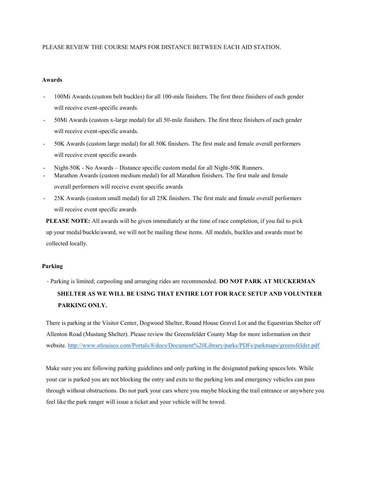#### PLEASE REVIEW THE COURSE MAPS FOR DISTANCE BETWEEN EACH AID STATION.

#### **Awards**

- 100Mi Awards (custom belt buckles) for all 100-mile finishers. The first three finishers of each gender will receive event-specific awards.
- 50Mi Awards (custom x-large medal) for all 50-mile finishers. The first three finishers of each gender will receive event-specific awards.
- 50K Awards (custom large medal) for all 50K finishers. The first male and female overall performers will receive event specific awards
- Night-50K No Awards Distance specific custom medal for all Night-50K Runners.
- Marathon Awards (custom medium medal) for all Marathon finishers. The first male and female overall performers will receive event specific awards
- 25K Awards (custom small medal) for all 25K finishers. The first male and female overall performers will receive event specific awards

**PLEASE NOTE:** All awards will be given immediately at the time of race completion, if you fail to pick up your medal/buckle/award, we will not be mailing these items. All medals, buckles and awards must be collected locally.

#### **Parking**

- Parking is limited; carpooling and arranging rides are recommended. **DO NOT PARK AT MUCKERMAN SHELTER AS WE WILL BE USING THAT ENTIRE LOT FOR RACE SETUP AND VOLUNTEER PARKING ONLY.** 

There is parking at the Visitor Center, Dogwood Shelter, Round House Gravel Lot and the Equestrian Shelter off Allenton Road (Mustang Shelter). Please review the Greensfelder County Map for more information on their website. http://www.stlouisco.com/Portals/8/docs/Document%20Library/parks/PDFs/parkmaps/greensfelder.pdf

Make sure you are following parking guidelines and only parking in the designated parking spaces/lots. While your car is parked you are not blocking the entry and exits to the parking lots and emergency vehicles can pass through without obstructions. Do not park your cars where you maybe blocking the trail entrance or anywhere you feel like the park ranger will issue a ticket and your vehicle will be towed.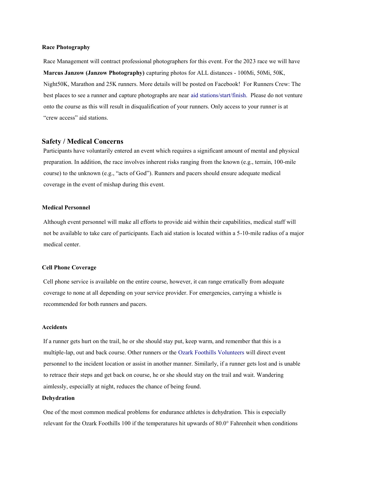#### **Race Photography**

Race Management will contract professional photographers for this event. For the 2023 race we will have **Marcus Janzow (Janzow Photography)** capturing photos for ALL distances - 100Mi, 50Mi, 50K, Night50K, Marathon and 25K runners. More details will be posted on Facebook! For Runners Crew: The best places to see a runner and capture photographs are near aid stations/start/finish. Please do not venture onto the course as this will result in disqualification of your runners. Only access to your runner is at "crew access" aid stations.

#### **Safety / Medical Concerns**

Participants have voluntarily entered an event which requires a significant amount of mental and physical preparation. In addition, the race involves inherent risks ranging from the known (e.g., terrain, 100-mile course) to the unknown (e.g., "acts of God"). Runners and pacers should ensure adequate medical coverage in the event of mishap during this event.

#### **Medical Personnel**

Although event personnel will make all efforts to provide aid within their capabilities, medical staff will not be available to take care of participants. Each aid station is located within a 5-10-mile radius of a major medical center.

#### **Cell Phone Coverage**

Cell phone service is available on the entire course, however, it can range erratically from adequate coverage to none at all depending on your service provider. For emergencies, carrying a whistle is recommended for both runners and pacers.

#### **Accidents**

If a runner gets hurt on the trail, he or she should stay put, keep warm, and remember that this is a multiple-lap, out and back course. Other runners or the Ozark Foothills Volunteers will direct event personnel to the incident location or assist in another manner. Similarly, if a runner gets lost and is unable to retrace their steps and get back on course, he or she should stay on the trail and wait. Wandering aimlessly, especially at night, reduces the chance of being found.

#### **Dehydration**

One of the most common medical problems for endurance athletes is dehydration. This is especially relevant for the Ozark Foothills 100 if the temperatures hit upwards of 80.0° Fahrenheit when conditions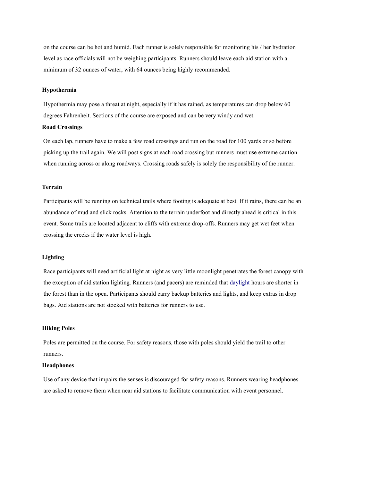on the course can be hot and humid. Each runner is solely responsible for monitoring his / her hydration level as race officials will not be weighing participants. Runners should leave each aid station with a minimum of 32 ounces of water, with 64 ounces being highly recommended.

#### **Hypothermia**

Hypothermia may pose a threat at night, especially if it has rained, as temperatures can drop below 60 degrees Fahrenheit. Sections of the course are exposed and can be very windy and wet.

#### **Road Crossings**

On each lap, runners have to make a few road crossings and run on the road for 100 yards or so before picking up the trail again. We will post signs at each road crossing but runners must use extreme caution when running across or along roadways. Crossing roads safely is solely the responsibility of the runner.

#### **Terrain**

Participants will be running on technical trails where footing is adequate at best. If it rains, there can be an abundance of mud and slick rocks. Attention to the terrain underfoot and directly ahead is critical in this event. Some trails are located adjacent to cliffs with extreme drop-offs. Runners may get wet feet when crossing the creeks if the water level is high.

#### **Lighting**

Race participants will need artificial light at night as very little moonlight penetrates the forest canopy with the exception of aid station lighting. Runners (and pacers) are reminded that daylight hours are shorter in the forest than in the open. Participants should carry backup batteries and lights, and keep extras in drop bags. Aid stations are not stocked with batteries for runners to use.

#### **Hiking Poles**

Poles are permitted on the course. For safety reasons, those with poles should yield the trail to other runners.

#### **Headphones**

Use of any device that impairs the senses is discouraged for safety reasons. Runners wearing headphones are asked to remove them when near aid stations to facilitate communication with event personnel.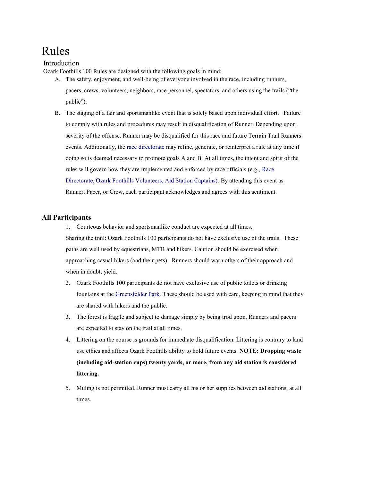## Rules

#### Introduction

Ozark Foothills 100 Rules are designed with the following goals in mind:

- A. The safety, enjoyment, and well-being of everyone involved in the race, including runners, pacers, crews, volunteers, neighbors, race personnel, spectators, and others using the trails ("the public").
- B. The staging of a fair and sportsmanlike event that is solely based upon individual effort. Failure to comply with rules and procedures may result in disqualification of Runner. Depending upon severity of the offense, Runner may be disqualified for this race and future Terrain Trail Runners events. Additionally, the race directorate may refine, generate, or reinterpret a rule at any time if doing so is deemed necessary to promote goals A and B. At all times, the intent and spirit of the rules will govern how they are implemented and enforced by race officials (e.g., Race Directorate, Ozark Foothills Volunteers, Aid Station Captains). By attending this event as Runner, Pacer, or Crew, each participant acknowledges and agrees with this sentiment.

#### **All Participants**

- 1. Courteous behavior and sportsmanlike conduct are expected at all times. Sharing the trail: Ozark Foothills 100 participants do not have exclusive use of the trails. These paths are well used by equestrians, MTB and hikers. Caution should be exercised when approaching casual hikers (and their pets). Runners should warn others of their approach and, when in doubt, yield.
- 2. Ozark Foothills 100 participants do not have exclusive use of public toilets or drinking fountains at the Greensfelder Park. These should be used with care, keeping in mind that they are shared with hikers and the public.
- 3. The forest is fragile and subject to damage simply by being trod upon. Runners and pacers are expected to stay on the trail at all times.
- 4. Littering on the course is grounds for immediate disqualification. Littering is contrary to land use ethics and affects Ozark Foothills ability to hold future events. **NOTE: Dropping waste (including aid-station cups) twenty yards, or more, from any aid station is considered littering.**
- 5. Muling is not permitted. Runner must carry all his or her supplies between aid stations, at all times.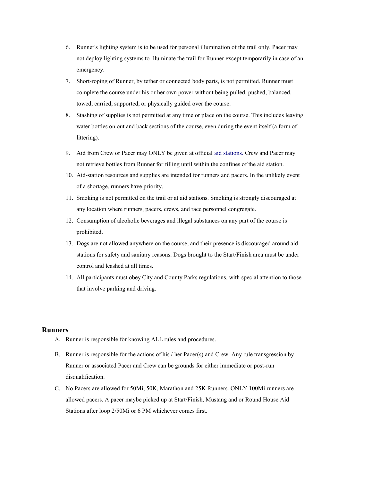- 6. Runner's lighting system is to be used for personal illumination of the trail only. Pacer may not deploy lighting systems to illuminate the trail for Runner except temporarily in case of an emergency.
- 7. Short-roping of Runner, by tether or connected body parts, is not permitted. Runner must complete the course under his or her own power without being pulled, pushed, balanced, towed, carried, supported, or physically guided over the course.
- 8. Stashing of supplies is not permitted at any time or place on the course. This includes leaving water bottles on out and back sections of the course, even during the event itself (a form of littering).
- 9. Aid from Crew or Pacer may ONLY be given at official aid stations. Crew and Pacer may not retrieve bottles from Runner for filling until within the confines of the aid station.
- 10. Aid-station resources and supplies are intended for runners and pacers. In the unlikely event of a shortage, runners have priority.
- 11. Smoking is not permitted on the trail or at aid stations. Smoking is strongly discouraged at any location where runners, pacers, crews, and race personnel congregate.
- 12. Consumption of alcoholic beverages and illegal substances on any part of the course is prohibited.
- 13. Dogs are not allowed anywhere on the course, and their presence is discouraged around aid stations for safety and sanitary reasons. Dogs brought to the Start/Finish area must be under control and leashed at all times.
- 14. All participants must obey City and County Parks regulations, with special attention to those that involve parking and driving.

#### **Runners**

- A. Runner is responsible for knowing ALL rules and procedures.
- B. Runner is responsible for the actions of his  $/$  her Pacer(s) and Crew. Any rule transgression by Runner or associated Pacer and Crew can be grounds for either immediate or post-run disqualification.
- C. No Pacers are allowed for 50Mi, 50K, Marathon and 25K Runners. ONLY 100Mi runners are allowed pacers. A pacer maybe picked up at Start/Finish, Mustang and or Round House Aid Stations after loop 2/50Mi or 6 PM whichever comes first.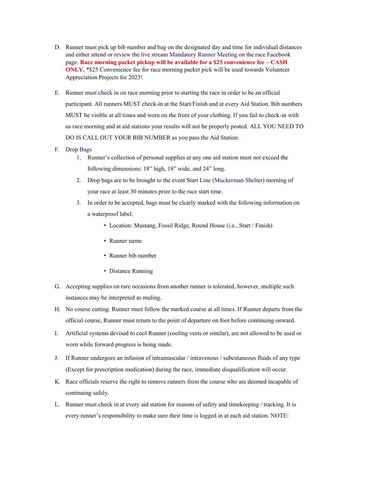- D. Runner must pick up bib number and bag on the designated day and time for individual distances and either attend or review the live stream Mandatory Runner Meeting on the race Facebook page. **Race morning packet pickup will be available for a \$25 convenience fee – CASH ONLY.** \*\$25 Convenience fee for race morning packet pick will be used towards Volunteer Appreciation Projects for 2023!
- E. Runner must check in on race morning prior to starting the race in order to be an official participant. All runners MUST check-in at the Start/Finish and at every Aid Station. Bib numbers MUST be visible at all times and worn on the front of your clothing. If you fail to check-in with us race morning and at aid stations your results will not be properly posted. ALL YOU NEED TO DO IS CALL OUT YOUR BIB NUMBER as you pass the Aid Station.
- F. Drop Bags
	- 1. Runner's collection of personal supplies at any one aid station must not exceed the following dimensions: 18" high, 18" wide, and 24" long.
	- 2. Drop bags are to be brought to the event Start Line (Muckerman Shelter) morning of your race at least 30 minutes prior to the race start time.
	- 3. In order to be accepted, bags must be clearly marked with the following information on a waterproof label.
		- Location: Mustang, Fossil Ridge, Round House (i.e., Start / Finish)
		- Runner name
		- Runner bib number
		- Distance Running
- G. Accepting supplies on rare occasions from another runner is tolerated, however, multiple such instances may be interpreted as muling.
- H. No course cutting. Runner must follow the marked course at all times. If Runner departs from the official course, Runner must return to the point of departure on foot before continuing onward.
- I. Artificial systems devised to cool Runner (cooling vests or similar), are not allowed to be used or worn while forward progress is being made.
- J. If Runner undergoes an infusion of intramuscular / intravenous / subcutaneous fluids of any type (Except for prescription medication) during the race, immediate disqualification will occur.
- K. Race officials reserve the right to remove runners from the course who are deemed incapable of continuing safely.
- L. Runner must check in at every aid station for reasons of safety and timekeeping / tracking. It is every runner's responsibility to make sure their time is logged in at each aid station. NOTE: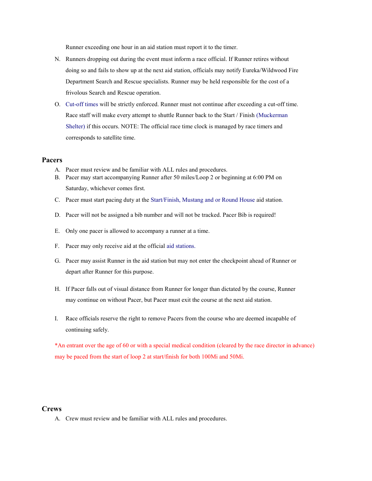Runner exceeding one hour in an aid station must report it to the timer.

- N. Runners dropping out during the event must inform a race official. If Runner retires without doing so and fails to show up at the next aid station, officials may notify Eureka/Wildwood Fire Department Search and Rescue specialists. Runner may be held responsible for the cost of a frivolous Search and Rescue operation.
- O. Cut-off times will be strictly enforced. Runner must not continue after exceeding a cut-off time. Race staff will make every attempt to shuttle Runner back to the Start / Finish (Muckerman Shelter) if this occurs. NOTE: The official race time clock is managed by race timers and corresponds to satellite time.

#### **Pacers**

- A. Pacer must review and be familiar with ALL rules and procedures.
- B. Pacer may start accompanying Runner after 50 miles/Loop 2 or beginning at 6:00 PM on Saturday, whichever comes first.
- C. Pacer must start pacing duty at the Start/Finish, Mustang and or Round House aid station.
- D. Pacer will not be assigned a bib number and will not be tracked. Pacer Bib is required!
- E. Only one pacer is allowed to accompany a runner at a time.
- F. Pacer may only receive aid at the official aid stations.
- G. Pacer may assist Runner in the aid station but may not enter the checkpoint ahead of Runner or depart after Runner for this purpose.
- H. If Pacer falls out of visual distance from Runner for longer than dictated by the course, Runner may continue on without Pacer, but Pacer must exit the course at the next aid station.
- I. Race officials reserve the right to remove Pacers from the course who are deemed incapable of continuing safely.

\*An entrant over the age of 60 or with a special medical condition (cleared by the race director in advance) may be paced from the start of loop 2 at start/finish for both 100Mi and 50Mi.

#### **Crews**

A. Crew must review and be familiar with ALL rules and procedures.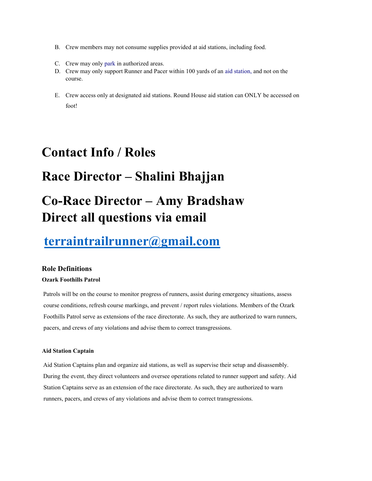- B. Crew members may not consume supplies provided at aid stations, including food.
- C. Crew may only park in authorized areas.
- D. Crew may only support Runner and Pacer within 100 yards of an aid station, and not on the course.
- E. Crew access only at designated aid stations. Round House aid station can ONLY be accessed on foot!

## **Contact Info / Roles**

## **Race Director – Shalini Bhajjan**

# **Co-Race Director – Amy Bradshaw Direct all questions via email**

## **terraintrailrunner@gmail.com**

#### **Role Definitions**

#### **Ozark Foothills Patrol**

Patrols will be on the course to monitor progress of runners, assist during emergency situations, assess course conditions, refresh course markings, and prevent / report rules violations. Members of the Ozark Foothills Patrol serve as extensions of the race directorate. As such, they are authorized to warn runners, pacers, and crews of any violations and advise them to correct transgressions.

#### **Aid Station Captain**

Aid Station Captains plan and organize aid stations, as well as supervise their setup and disassembly. During the event, they direct volunteers and oversee operations related to runner support and safety. Aid Station Captains serve as an extension of the race directorate. As such, they are authorized to warn runners, pacers, and crews of any violations and advise them to correct transgressions.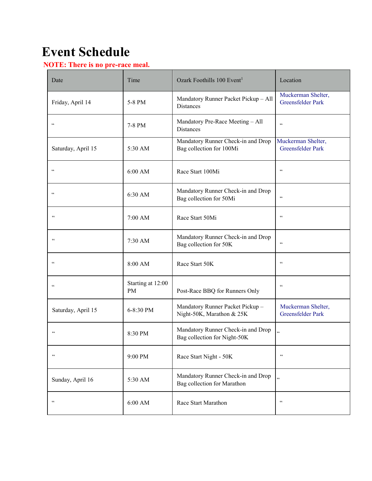# **Event Schedule**

### **NOTE: There is no pre-race meal.**

| Date               | Time                    | Ozark Foothills 100 Event <sup>1</sup>                             | Location                                       |
|--------------------|-------------------------|--------------------------------------------------------------------|------------------------------------------------|
| Friday, April 14   | 5-8 PM                  | Mandatory Runner Packet Pickup - All<br>Distances                  | Muckerman Shelter,<br><b>Greensfelder Park</b> |
| $\zeta\,\zeta$     | 7-8 PM                  | Mandatory Pre-Race Meeting - All<br><b>Distances</b>               | $\zeta\,\zeta$                                 |
| Saturday, April 15 | 5:30 AM                 | Mandatory Runner Check-in and Drop<br>Bag collection for 100Mi     | Muckerman Shelter,<br>Greensfelder Park        |
| $\zeta$ $\zeta$    | 6:00 AM                 | Race Start 100Mi                                                   | $\zeta\,\zeta$                                 |
| $\zeta$ $\zeta$    | 6:30 AM                 | Mandatory Runner Check-in and Drop<br>Bag collection for 50Mi      | $\zeta\,\zeta$                                 |
| $\zeta$ $\zeta$    | 7:00 AM                 | Race Start 50Mi                                                    | $\zeta\,\zeta$                                 |
| $\zeta\,\zeta$     | 7:30 AM                 | Mandatory Runner Check-in and Drop<br>Bag collection for 50K       | $\zeta\,\zeta$                                 |
| $\zeta\,\zeta$     | 8:00 AM                 | Race Start 50K                                                     | $\zeta\,\zeta$                                 |
| $\zeta\,\zeta$     | Starting at 12:00<br>PM | Post-Race BBQ for Runners Only                                     | $\zeta\,\zeta$                                 |
| Saturday, April 15 | 6-8:30 PM               | Mandatory Runner Packet Pickup -<br>Night-50K, Marathon & 25K      | Muckerman Shelter,<br><b>Greensfelder Park</b> |
| $\,$ 6 $\,$        | 8:30 PM                 | Mandatory Runner Check-in and Drop<br>Bag collection for Night-50K | $\ddot{\phantom{a}}$                           |
| $\zeta\,\zeta$     | 9:00 PM                 | Race Start Night - 50K                                             | $\zeta\,\zeta$                                 |
| Sunday, April 16   | 5:30 AM                 | Mandatory Runner Check-in and Drop<br>Bag collection for Marathon  | $\epsilon$                                     |
| $\zeta\,\zeta$     | $6:00$ AM               | Race Start Marathon                                                | $\zeta\,\zeta$                                 |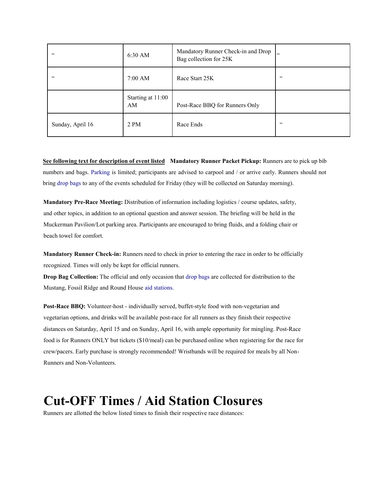| $\zeta\,\zeta$   | 6:30 AM                 | Mandatory Runner Check-in and Drop<br>Bag collection for 25K | $\epsilon$         |
|------------------|-------------------------|--------------------------------------------------------------|--------------------|
| $\zeta\,\zeta$   | 7:00 AM                 | Race Start 25K                                               | $\epsilon\epsilon$ |
|                  | Starting at 11:00<br>AM | Post-Race BBQ for Runners Only                               |                    |
| Sunday, April 16 | 2 PM                    | Race Ends                                                    | 66                 |

**See following text for description of event listed Mandatory Runner Packet Pickup:** Runners are to pick up bib numbers and bags. Parking is limited; participants are advised to carpool and / or arrive early. Runners should not bring drop bags to any of the events scheduled for Friday (they will be collected on Saturday morning).

**Mandatory Pre-Race Meeting:** Distribution of information including logistics / course updates, safety, and other topics, in addition to an optional question and answer session. The briefing will be held in the Muckerman Pavilion/Lot parking area. Participants are encouraged to bring fluids, and a folding chair or beach towel for comfort.

**Mandatory Runner Check-in:** Runners need to check in prior to entering the race in order to be officially recognized. Times will only be kept for official runners.

**Drop Bag Collection:** The official and only occasion that drop bags are collected for distribution to the Mustang, Fossil Ridge and Round House aid stations.

**Post-Race BBQ:** Volunteer-host - individually served, buffet-style food with non-vegetarian and vegetarian options, and drinks will be available post-race for all runners as they finish their respective distances on Saturday, April 15 and on Sunday, April 16, with ample opportunity for mingling. Post-Race food is for Runners ONLY but tickets (\$10/meal) can be purchased online when registering for the race for crew/pacers. Early purchase is strongly recommended! Wristbands will be required for meals by all Non-Runners and Non-Volunteers.

## **Cut-OFF Times / Aid Station Closures**

Runners are allotted the below listed times to finish their respective race distances: